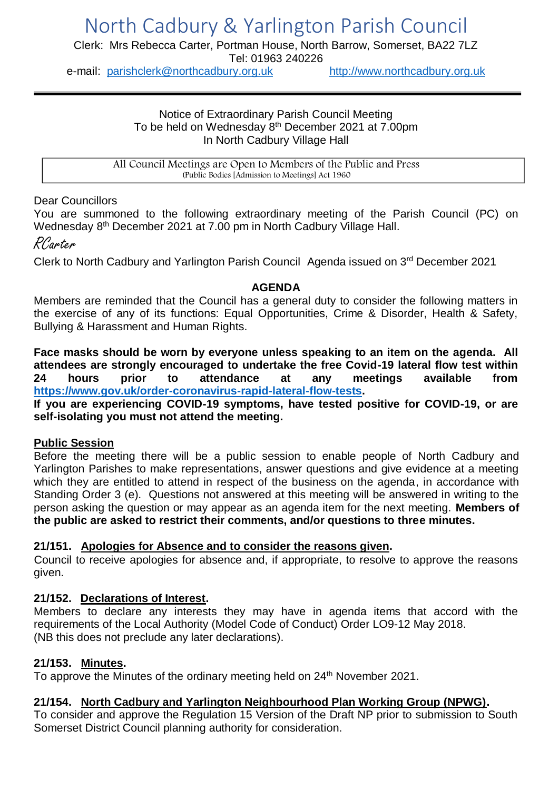Clerk: Mrs Rebecca Carter, Portman House, North Barrow, Somerset, BA22 7LZ Tel: 01963 240226

e-mail: [parishclerk@northcadbury.org.uk](mailto:parishclerk@northcadbury.org.uk) [http://www.northcadbury.org.uk](http://www.northcadbury.org.uk/)

#### Notice of Extraordinary Parish Council Meeting To be held on Wednesday 8<sup>th</sup> December 2021 at 7.00pm In North Cadbury Village Hall

All Council Meetings are Open to Members of the Public and Press (Public Bodies [Admission to Meetings] Act 1960

Dear Councillors

You are summoned to the following extraordinary meeting of the Parish Council (PC) on Wednesday 8<sup>th</sup> December 2021 at 7.00 pm in North Cadbury Village Hall.

# RCarter

Clerk to North Cadbury and Yarlington Parish Council Agenda issued on 3rd December 2021

#### **AGENDA**

Members are reminded that the Council has a general duty to consider the following matters in the exercise of any of its functions: Equal Opportunities, Crime & Disorder, Health & Safety, Bullying & Harassment and Human Rights.

**Face masks should be worn by everyone unless speaking to an item on the agenda. All attendees are strongly encouraged to undertake the free Covid-19 lateral flow test within 24 hours prior to attendance at any meetings available from [https://www.gov.uk/order-coronavirus-rapid-lateral-flow-tests.](https://www.gov.uk/order-coronavirus-rapid-lateral-flow-tests)**

**If you are experiencing COVID-19 symptoms, have tested positive for COVID-19, or are self-isolating you must not attend the meeting.**

## **Public Session**

Before the meeting there will be a public session to enable people of North Cadbury and Yarlington Parishes to make representations, answer questions and give evidence at a meeting which they are entitled to attend in respect of the business on the agenda, in accordance with Standing Order 3 (e). Questions not answered at this meeting will be answered in writing to the person asking the question or may appear as an agenda item for the next meeting. **Members of the public are asked to restrict their comments, and/or questions to three minutes.**

## **21/151. Apologies for Absence and to consider the reasons given.**

Council to receive apologies for absence and, if appropriate, to resolve to approve the reasons given.

## **21/152. Declarations of Interest.**

Members to declare any interests they may have in agenda items that accord with the requirements of the Local Authority (Model Code of Conduct) Order LO9-12 May 2018. (NB this does not preclude any later declarations).

## **21/153. Minutes.**

To approve the Minutes of the ordinary meeting held on 24<sup>th</sup> November 2021.

## **21/154. North Cadbury and Yarlington Neighbourhood Plan Working Group (NPWG).**

To consider and approve the Regulation 15 Version of the Draft NP prior to submission to South Somerset District Council planning authority for consideration.